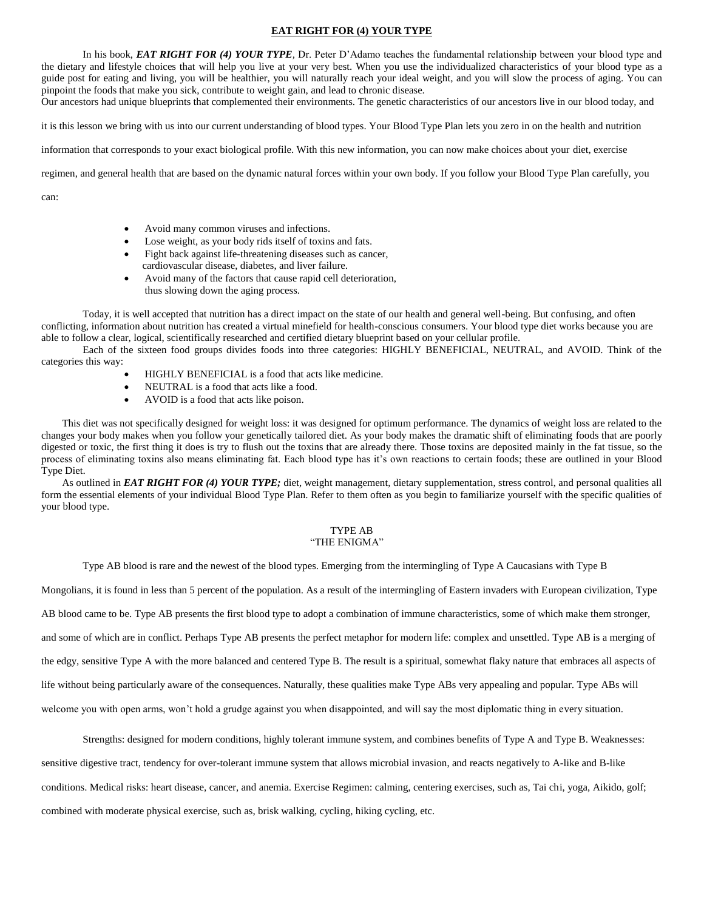### **EAT RIGHT FOR (4) YOUR TYPE**

In his book, *EAT RIGHT FOR (4) YOUR TYPE,* Dr. Peter D'Adamo teaches the fundamental relationship between your blood type and the dietary and lifestyle choices that will help you live at your very best. When you use the individualized characteristics of your blood type as a guide post for eating and living, you will be healthier, you will naturally reach your ideal weight, and you will slow the process of aging. You can pinpoint the foods that make you sick, contribute to weight gain, and lead to chronic disease.

Our ancestors had unique blueprints that complemented their environments. The genetic characteristics of our ancestors live in our blood today, and

it is this lesson we bring with us into our current understanding of blood types. Your Blood Type Plan lets you zero in on the health and nutrition

information that corresponds to your exact biological profile. With this new information, you can now make choices about your diet, exercise

regimen, and general health that are based on the dynamic natural forces within your own body. If you follow your Blood Type Plan carefully, you

can:

- Avoid many common viruses and infections.
- Lose weight, as your body rids itself of toxins and fats.
- Fight back against life-threatening diseases such as cancer, cardiovascular disease, diabetes, and liver failure.
- Avoid many of the factors that cause rapid cell deterioration, thus slowing down the aging process.

Today, it is well accepted that nutrition has a direct impact on the state of our health and general well-being. But confusing, and often conflicting, information about nutrition has created a virtual minefield for health-conscious consumers. Your blood type diet works because you are able to follow a clear, logical, scientifically researched and certified dietary blueprint based on your cellular profile.

Each of the sixteen food groups divides foods into three categories: HIGHLY BENEFICIAL, NEUTRAL, and AVOID. Think of the categories this way:

- HIGHLY BENEFICIAL is a food that acts like medicine.
- NEUTRAL is a food that acts like a food.
- AVOID is a food that acts like poison.

This diet was not specifically designed for weight loss: it was designed for optimum performance. The dynamics of weight loss are related to the changes your body makes when you follow your genetically tailored diet. As your body makes the dramatic shift of eliminating foods that are poorly digested or toxic, the first thing it does is try to flush out the toxins that are already there. Those toxins are deposited mainly in the fat tissue, so the process of eliminating toxins also means eliminating fat. Each blood type has it's own reactions to certain foods; these are outlined in your Blood Type Diet.

As outlined in *EAT RIGHT FOR (4) YOUR TYPE;* diet, weight management, dietary supplementation, stress control, and personal qualities all form the essential elements of your individual Blood Type Plan. Refer to them often as you begin to familiarize yourself with the specific qualities of your blood type.

#### TYPE AB "THE ENIGMA"

Type AB blood is rare and the newest of the blood types. Emerging from the intermingling of Type A Caucasians with Type B

Mongolians, it is found in less than 5 percent of the population. As a result of the intermingling of Eastern invaders with European civilization, Type AB blood came to be. Type AB presents the first blood type to adopt a combination of immune characteristics, some of which make them stronger, and some of which are in conflict. Perhaps Type AB presents the perfect metaphor for modern life: complex and unsettled. Type AB is a merging of the edgy, sensitive Type A with the more balanced and centered Type B. The result is a spiritual, somewhat flaky nature that embraces all aspects of life without being particularly aware of the consequences. Naturally, these qualities make Type ABs very appealing and popular. Type ABs will welcome you with open arms, won't hold a grudge against you when disappointed, and will say the most diplomatic thing in every situation.

Strengths: designed for modern conditions, highly tolerant immune system, and combines benefits of Type A and Type B. Weaknesses:

sensitive digestive tract, tendency for over-tolerant immune system that allows microbial invasion, and reacts negatively to A-like and B-like conditions. Medical risks: heart disease, cancer, and anemia. Exercise Regimen: calming, centering exercises, such as, Tai chi, yoga, Aikido, golf; combined with moderate physical exercise, such as, brisk walking, cycling, hiking cycling, etc.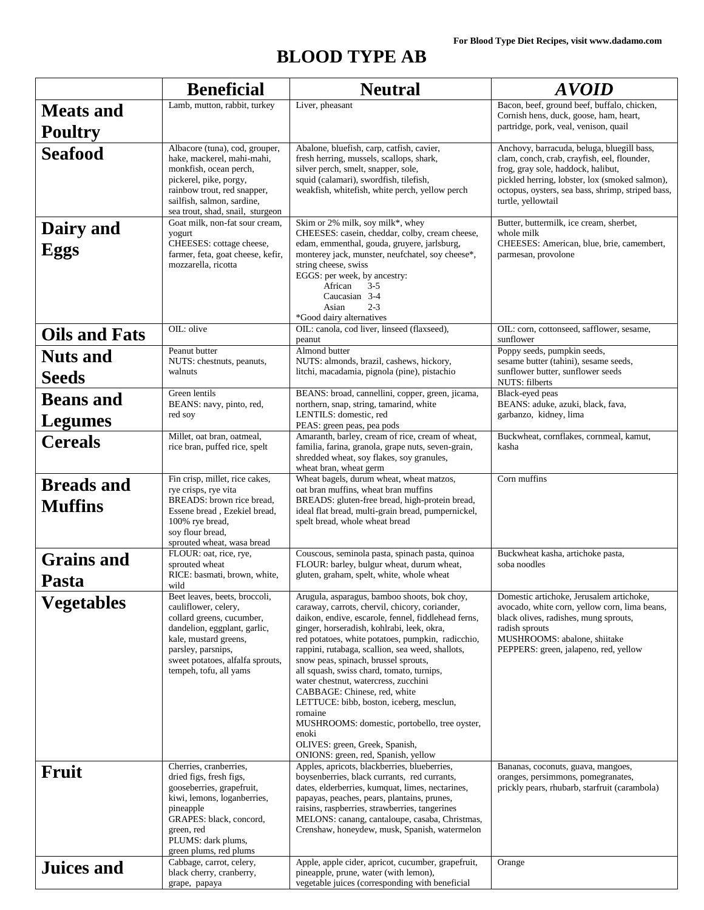# **BLOOD TYPE AB**

|                                     | <b>Beneficial</b>                                                                                                                                                                                                               | <b>Neutral</b>                                                                                                                                                                                                                                                                                                                                                                                                                                                                                                                                                                                                                                                      | <i><b>AVOID</b></i>                                                                                                                                                                                                                                          |
|-------------------------------------|---------------------------------------------------------------------------------------------------------------------------------------------------------------------------------------------------------------------------------|---------------------------------------------------------------------------------------------------------------------------------------------------------------------------------------------------------------------------------------------------------------------------------------------------------------------------------------------------------------------------------------------------------------------------------------------------------------------------------------------------------------------------------------------------------------------------------------------------------------------------------------------------------------------|--------------------------------------------------------------------------------------------------------------------------------------------------------------------------------------------------------------------------------------------------------------|
| <b>Meats and</b><br><b>Poultry</b>  | Lamb, mutton, rabbit, turkey                                                                                                                                                                                                    | Liver, pheasant                                                                                                                                                                                                                                                                                                                                                                                                                                                                                                                                                                                                                                                     | Bacon, beef, ground beef, buffalo, chicken,<br>Cornish hens, duck, goose, ham, heart,<br>partridge, pork, veal, venison, quail                                                                                                                               |
| <b>Seafood</b>                      | Albacore (tuna), cod, grouper,<br>hake, mackerel, mahi-mahi,<br>monkfish, ocean perch,<br>pickerel, pike, porgy,<br>rainbow trout, red snapper,<br>sailfish, salmon, sardine,<br>sea trout, shad, snail, sturgeon               | Abalone, bluefish, carp, catfish, cavier,<br>fresh herring, mussels, scallops, shark,<br>silver perch, smelt, snapper, sole,<br>squid (calamari), swordfish, tilefish,<br>weakfish, whitefish, white perch, yellow perch                                                                                                                                                                                                                                                                                                                                                                                                                                            | Anchovy, barracuda, beluga, bluegill bass,<br>clam, conch, crab, crayfish, eel, flounder,<br>frog, gray sole, haddock, halibut,<br>pickled herring, lobster, lox (smoked salmon),<br>octopus, oysters, sea bass, shrimp, striped bass,<br>turtle, yellowtail |
| Dairy and<br>Eggs                   | Goat milk, non-fat sour cream,<br>yogurt<br>CHEESES: cottage cheese,<br>farmer, feta, goat cheese, kefir,<br>mozzarella, ricotta                                                                                                | Skim or 2% milk, soy milk*, whey<br>CHEESES: casein, cheddar, colby, cream cheese,<br>edam, emmenthal, gouda, gruyere, jarlsburg,<br>monterey jack, munster, neufchatel, soy cheese*,<br>string cheese, swiss<br>EGGS: per week, by ancestry:<br>African<br>$3 - 5$<br>Caucasian 3-4<br>$2 - 3$<br>Asian<br>*Good dairy alternatives                                                                                                                                                                                                                                                                                                                                | Butter, buttermilk, ice cream, sherbet,<br>whole milk<br>CHEESES: American, blue, brie, camembert,<br>parmesan, provolone                                                                                                                                    |
| <b>Oils and Fats</b>                | OIL: olive                                                                                                                                                                                                                      | OIL: canola, cod liver, linseed (flaxseed),<br>peanut                                                                                                                                                                                                                                                                                                                                                                                                                                                                                                                                                                                                               | OIL: corn, cottonseed, safflower, sesame,<br>sunflower                                                                                                                                                                                                       |
| <b>Nuts</b> and<br><b>Seeds</b>     | Peanut butter<br>NUTS: chestnuts, peanuts,<br>walnuts                                                                                                                                                                           | Almond butter<br>NUTS: almonds, brazil, cashews, hickory,<br>litchi, macadamia, pignola (pine), pistachio                                                                                                                                                                                                                                                                                                                                                                                                                                                                                                                                                           | Poppy seeds, pumpkin seeds,<br>sesame butter (tahini), sesame seeds,<br>sunflower butter, sunflower seeds<br>NUTS: filberts                                                                                                                                  |
| <b>Beans</b> and<br>Legumes         | Green lentils<br>BEANS: navy, pinto, red,<br>red soy                                                                                                                                                                            | BEANS: broad, cannellini, copper, green, jicama,<br>northern, snap, string, tamarind, white<br>LENTILS: domestic, red<br>PEAS: green peas, pea pods                                                                                                                                                                                                                                                                                                                                                                                                                                                                                                                 | Black-eyed peas<br>BEANS: aduke, azuki, black, fava,<br>garbanzo, kidney, lima                                                                                                                                                                               |
| <b>Cereals</b>                      | Millet, oat bran, oatmeal,<br>rice bran, puffed rice, spelt                                                                                                                                                                     | Amaranth, barley, cream of rice, cream of wheat,<br>familia, farina, granola, grape nuts, seven-grain,<br>shredded wheat, soy flakes, soy granules,<br>wheat bran, wheat germ                                                                                                                                                                                                                                                                                                                                                                                                                                                                                       | Buckwheat, cornflakes, cornmeal, kamut,<br>kasha                                                                                                                                                                                                             |
| <b>Breads and</b><br><b>Muffins</b> | Fin crisp, millet, rice cakes,<br>rye crisps, rye vita<br>BREADS: brown rice bread,<br>Essene bread, Ezekiel bread,<br>100% rye bread,<br>soy flour bread,<br>sprouted wheat, wasa bread                                        | Wheat bagels, durum wheat, wheat matzos,<br>oat bran muffins, wheat bran muffins<br>BREADS: gluten-free bread, high-protein bread,<br>ideal flat bread, multi-grain bread, pumpernickel,<br>spelt bread, whole wheat bread                                                                                                                                                                                                                                                                                                                                                                                                                                          | Corn muffins                                                                                                                                                                                                                                                 |
| <b>Grains and</b><br>Pasta          | FLOUR: oat, rice, rye,<br>sprouted wheat<br>RICE: basmati, brown, white,<br>wild                                                                                                                                                | Couscous, seminola pasta, spinach pasta, quinoa<br>FLOUR: barley, bulgur wheat, durum wheat,<br>gluten, graham, spelt, white, whole wheat                                                                                                                                                                                                                                                                                                                                                                                                                                                                                                                           | Buckwheat kasha, artichoke pasta,<br>soba noodles                                                                                                                                                                                                            |
| <b>Vegetables</b>                   | Beet leaves, beets, broccoli,<br>cauliflower, celery,<br>collard greens, cucumber,<br>dandelion, eggplant, garlic,<br>kale, mustard greens,<br>parsley, parsnips,<br>sweet potatoes, alfalfa sprouts,<br>tempeh, tofu, all yams | Arugula, asparagus, bamboo shoots, bok choy,<br>caraway, carrots, chervil, chicory, coriander,<br>daikon, endive, escarole, fennel, fiddlehead ferns,<br>ginger, horseradish, kohlrabi, leek, okra,<br>red potatoes, white potatoes, pumpkin, radicchio,<br>rappini, rutabaga, scallion, sea weed, shallots,<br>snow peas, spinach, brussel sprouts,<br>all squash, swiss chard, tomato, turnips,<br>water chestnut, watercress, zucchini<br>CABBAGE: Chinese, red, white<br>LETTUCE: bibb, boston, iceberg, mesclun,<br>romaine<br>MUSHROOMS: domestic, portobello, tree oyster,<br>enoki<br>OLIVES: green, Greek, Spanish,<br>ONIONS: green, red, Spanish, yellow | Domestic artichoke, Jerusalem artichoke,<br>avocado, white corn, yellow corn, lima beans,<br>black olives, radishes, mung sprouts,<br>radish sprouts<br>MUSHROOMS: abalone, shiitake<br>PEPPERS: green, jalapeno, red, yellow                                |
| <b>Fruit</b>                        | Cherries, cranberries,<br>dried figs, fresh figs,<br>gooseberries, grapefruit,<br>kiwi, lemons, loganberries,<br>pineapple<br>GRAPES: black, concord,<br>green, red<br>PLUMS: dark plums,<br>green plums, red plums             | Apples, apricots, blackberries, blueberries,<br>boysenberries, black currants, red currants,<br>dates, elderberries, kumquat, limes, nectarines,<br>papayas, peaches, pears, plantains, prunes,<br>raisins, raspberries, strawberries, tangerines<br>MELONS: canang, cantaloupe, casaba, Christmas,<br>Crenshaw, honeydew, musk, Spanish, watermelon                                                                                                                                                                                                                                                                                                                | Bananas, coconuts, guava, mangoes,<br>oranges, persimmons, pomegranates,<br>prickly pears, rhubarb, starfruit (carambola)                                                                                                                                    |
| <b>Juices and</b>                   | Cabbage, carrot, celery,<br>black cherry, cranberry,<br>grape, papaya                                                                                                                                                           | Apple, apple cider, apricot, cucumber, grapefruit,<br>pineapple, prune, water (with lemon),<br>vegetable juices (corresponding with beneficial                                                                                                                                                                                                                                                                                                                                                                                                                                                                                                                      | Orange                                                                                                                                                                                                                                                       |